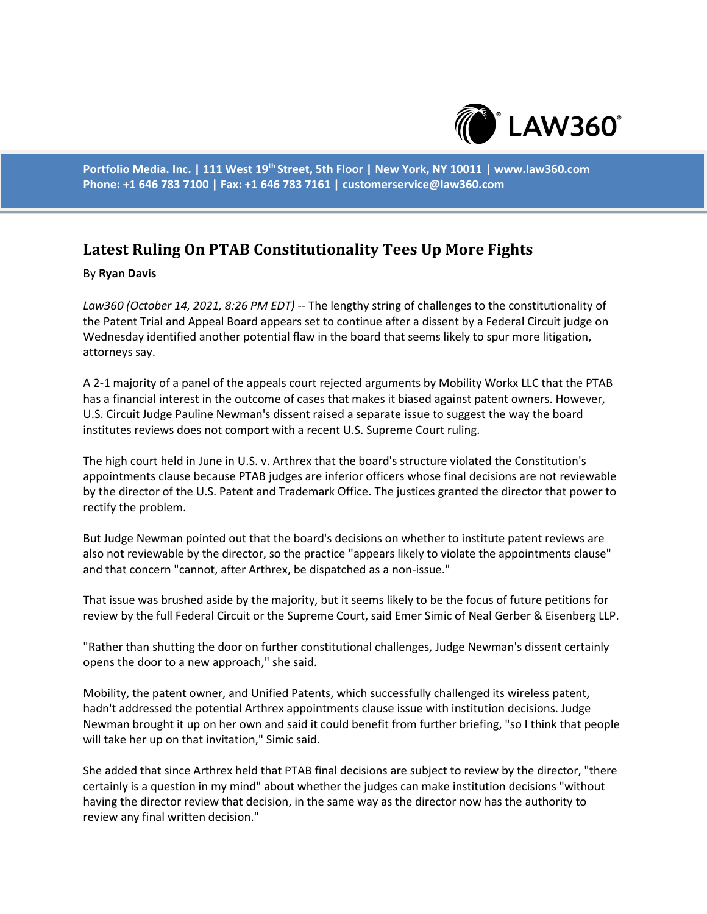

**Portfolio Media. Inc. | 111 West 19th Street, 5th Floor | New York, NY 10011 | www.law360.com Phone: +1 646 783 7100 | Fax: +1 646 783 7161 | customerservice@law360.com**

## **Latest Ruling On PTAB Constitutionality Tees Up More Fights**

## By **Ryan Davis**

*Law360 (October 14, 2021, 8:26 PM EDT)* -- The lengthy string of challenges to the constitutionality of the Patent Trial and Appeal Board appears set to continue after a dissent by a Federal Circuit judge on Wednesday identified another potential flaw in the board that seems likely to spur more litigation, attorneys say.

A 2-1 majority of a panel of the appeals court rejected arguments by Mobility Workx LLC that the PTAB has a financial interest in the outcome of cases that makes it biased against patent owners. However, U.S. Circuit Judge Pauline Newman's dissent raised a separate issue to suggest the way the board institutes reviews does not comport with a recent U.S. Supreme Court ruling.

The high court held in June in U.S. v. Arthrex that the board's structure violated the Constitution's appointments clause because PTAB judges are inferior officers whose final decisions are not reviewable by the director of the U.S. Patent and Trademark Office. The justices granted the director that power to rectify the problem.

But Judge Newman pointed out that the board's decisions on whether to institute patent reviews are also not reviewable by the director, so the practice "appears likely to violate the appointments clause" and that concern "cannot, after Arthrex, be dispatched as a non-issue."

That issue was brushed aside by the majority, but it seems likely to be the focus of future petitions for review by the full Federal Circuit or the Supreme Court, said Emer Simic of Neal Gerber & Eisenberg LLP.

"Rather than shutting the door on further constitutional challenges, Judge Newman's dissent certainly opens the door to a new approach," she said.

Mobility, the patent owner, and Unified Patents, which successfully challenged its wireless patent, hadn't addressed the potential Arthrex appointments clause issue with institution decisions. Judge Newman brought it up on her own and said it could benefit from further briefing, "so I think that people will take her up on that invitation," Simic said.

She added that since Arthrex held that PTAB final decisions are subject to review by the director, "there certainly is a question in my mind" about whether the judges can make institution decisions "without having the director review that decision, in the same way as the director now has the authority to review any final written decision."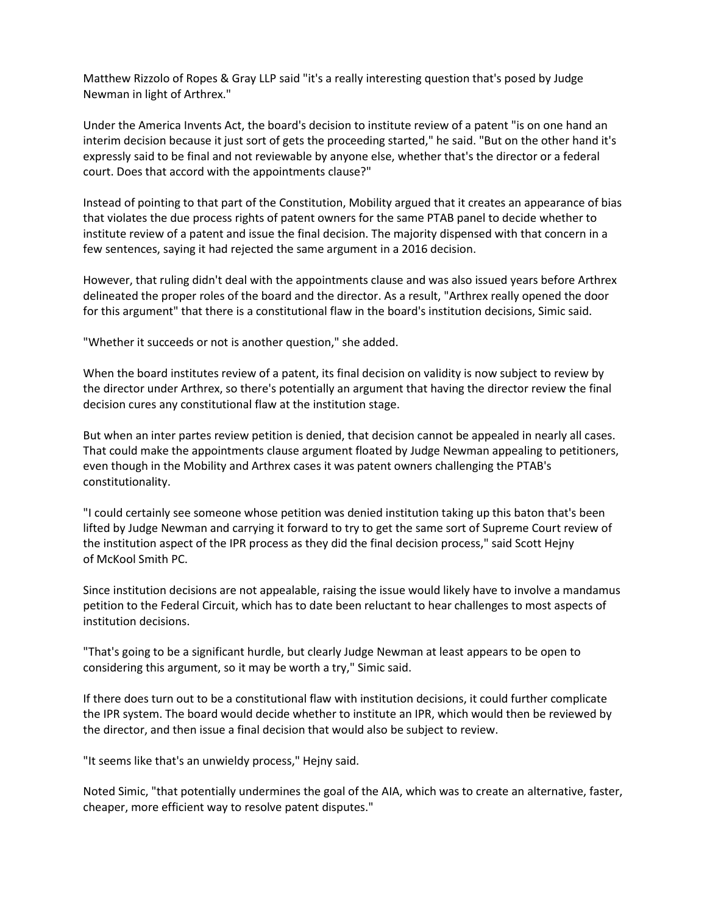Matthew Rizzolo of Ropes & Gray LLP said "it's a really interesting question that's posed by Judge Newman in light of Arthrex."

Under the America Invents Act, the board's decision to institute review of a patent "is on one hand an interim decision because it just sort of gets the proceeding started," he said. "But on the other hand it's expressly said to be final and not reviewable by anyone else, whether that's the director or a federal court. Does that accord with the appointments clause?"

Instead of pointing to that part of the Constitution, Mobility argued that it creates an appearance of bias that violates the due process rights of patent owners for the same PTAB panel to decide whether to institute review of a patent and issue the final decision. The majority dispensed with that concern in a few sentences, saying it had rejected the same argument in a 2016 decision.

However, that ruling didn't deal with the appointments clause and was also issued years before Arthrex delineated the proper roles of the board and the director. As a result, "Arthrex really opened the door for this argument" that there is a constitutional flaw in the board's institution decisions, Simic said.

"Whether it succeeds or not is another question," she added.

When the board institutes review of a patent, its final decision on validity is now subject to review by the director under Arthrex, so there's potentially an argument that having the director review the final decision cures any constitutional flaw at the institution stage.

But when an inter partes review petition is denied, that decision cannot be appealed in nearly all cases. That could make the appointments clause argument floated by Judge Newman appealing to petitioners, even though in the Mobility and Arthrex cases it was patent owners challenging the PTAB's constitutionality.

"I could certainly see someone whose petition was denied institution taking up this baton that's been lifted by Judge Newman and carrying it forward to try to get the same sort of Supreme Court review of the institution aspect of the IPR process as they did the final decision process," said Scott Hejny of McKool Smith PC.

Since institution decisions are not appealable, raising the issue would likely have to involve a mandamus petition to the Federal Circuit, which has to date been reluctant to hear challenges to most aspects of institution decisions.

"That's going to be a significant hurdle, but clearly Judge Newman at least appears to be open to considering this argument, so it may be worth a try," Simic said.

If there does turn out to be a constitutional flaw with institution decisions, it could further complicate the IPR system. The board would decide whether to institute an IPR, which would then be reviewed by the director, and then issue a final decision that would also be subject to review.

"It seems like that's an unwieldy process," Hejny said.

Noted Simic, "that potentially undermines the goal of the AIA, which was to create an alternative, faster, cheaper, more efficient way to resolve patent disputes."